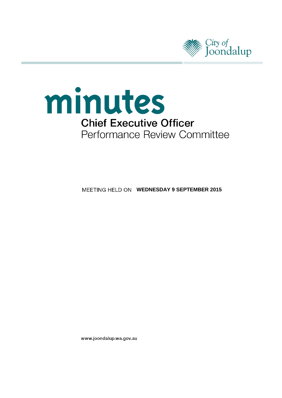



**MEETING HELD ON WEDNESDAY 9 SEPTEMBER 2015** 

www.joondalup.wa.gov.au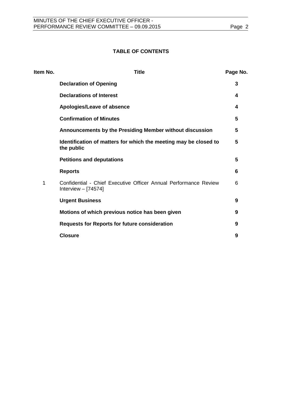### **TABLE OF CONTENTS**

| Item No. | <b>Title</b>                                                                              | Page No. |
|----------|-------------------------------------------------------------------------------------------|----------|
|          | <b>Declaration of Opening</b>                                                             | 3        |
|          | <b>Declarations of Interest</b>                                                           | 4        |
|          | Apologies/Leave of absence                                                                | 4        |
|          | <b>Confirmation of Minutes</b>                                                            | 5        |
|          | Announcements by the Presiding Member without discussion                                  | 5        |
|          | Identification of matters for which the meeting may be closed to<br>the public            | 5        |
|          | <b>Petitions and deputations</b>                                                          | 5        |
|          | <b>Reports</b>                                                                            | 6        |
| 1        | Confidential - Chief Executive Officer Annual Performance Review<br>Interview $-$ [74574] | 6        |
|          | <b>Urgent Business</b>                                                                    | 9        |
|          | Motions of which previous notice has been given                                           | 9        |
|          | <b>Requests for Reports for future consideration</b>                                      | 9        |
|          | <b>Closure</b>                                                                            | 9        |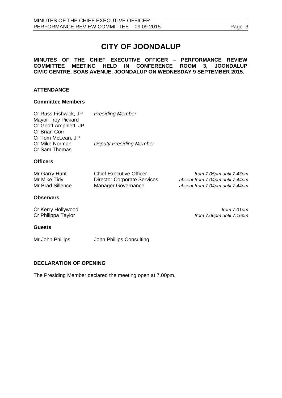# **CITY OF JOONDALUP**

#### **MINUTES OF THE CHIEF EXECUTIVE OFFICER – PERFORMANCE REVIEW COMMITTEE MEETING HELD IN CONFERENCE ROOM 3, JOONDALUP CIVIC CENTRE, BOAS AVENUE, JOONDALUP ON WEDNESDAY 9 SEPTEMBER 2015.**

### **ATTENDANCE**

#### **Committee Members**

| Cr Russ Fishwick, JP<br>Mayor Troy Pickard<br>Cr Geoff Amphlett, JP<br>Cr Brian Corr<br>Cr Tom McLean, JP | <b>Presiding Member</b>                                                                           |                                                                                                |
|-----------------------------------------------------------------------------------------------------------|---------------------------------------------------------------------------------------------------|------------------------------------------------------------------------------------------------|
| Cr Mike Norman<br>Cr Sam Thomas                                                                           | <b>Deputy Presiding Member</b>                                                                    |                                                                                                |
| <b>Officers</b>                                                                                           |                                                                                                   |                                                                                                |
| Mr Garry Hunt<br>Mr Mike Tidy<br>Mr Brad Sillence                                                         | <b>Chief Executive Officer</b><br><b>Director Corporate Services</b><br><b>Manager Governance</b> | from 7.05pm until 7.43pm<br>absent from 7.04pm until 7.44pm<br>absent from 7.04pm until 7.44pm |
| <b>Observers</b>                                                                                          |                                                                                                   |                                                                                                |
| Cr Kerry Hollywood<br>Cr Philippa Taylor                                                                  |                                                                                                   | from 7.01pm<br>from 7.06pm until 7.16pm                                                        |
| <b>Guests</b>                                                                                             |                                                                                                   |                                                                                                |
| Mr John Phillips                                                                                          | John Phillips Consulting                                                                          |                                                                                                |

#### <span id="page-2-0"></span>**DECLARATION OF OPENING**

The Presiding Member declared the meeting open at 7.00pm.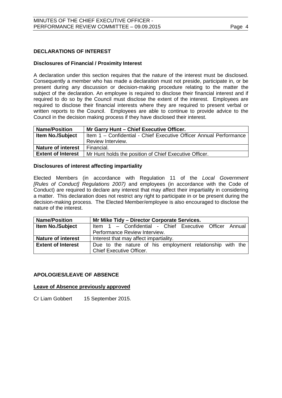#### <span id="page-3-0"></span>**DECLARATIONS OF INTEREST**

#### **Disclosures of Financial / Proximity Interest**

A declaration under this section requires that the nature of the interest must be disclosed. Consequently a member who has made a declaration must not preside, participate in, or be present during any discussion or decision-making procedure relating to the matter the subject of the declaration. An employee is required to disclose their financial interest and if required to do so by the Council must disclose the extent of the interest. Employees are required to disclose their financial interests where they are required to present verbal or written reports to the Council. Employees are able to continue to provide advice to the Council in the decision making process if they have disclosed their interest.

| <b>Name/Position</b>      | Mr Garry Hunt - Chief Executive Officer.                           |
|---------------------------|--------------------------------------------------------------------|
| <b>Item No./Subject</b>   | Item 1 - Confidential - Chief Executive Officer Annual Performance |
|                           | Review Interview.                                                  |
| <b>Nature of interest</b> | Financial.                                                         |
| <b>Extent of Interest</b> | Mr Hunt holds the position of Chief Executive Officer.             |

#### **Disclosures of interest affecting impartiality**

Elected Members (in accordance with Regulation 11 of the *Local Government [Rules of Conduct] Regulations 2007)* and employees (in accordance with the Code of Conduct) are required to declare any interest that may affect their impartiality in considering a matter. This declaration does not restrict any right to participate in or be present during the decision-making process. The Elected Member/employee is also encouraged to disclose the nature of the interest.

| <b>Name/Position</b>      | Mr Mike Tidy - Director Corporate Services.                                                  |
|---------------------------|----------------------------------------------------------------------------------------------|
| <b>Item No./Subject</b>   | Item 1 - Confidential - Chief Executive Officer Annual                                       |
|                           | Performance Review Interview.                                                                |
| <b>Nature of interest</b> | Interest that may affect impartiality.                                                       |
| <b>Extent of Interest</b> | Due to the nature of his employment relationship with the<br><b>Chief Executive Officer.</b> |

#### <span id="page-3-1"></span>**APOLOGIES/LEAVE OF ABSENCE**

#### **Leave of Absence previously approved**

Cr Liam Gobbert 15 September 2015.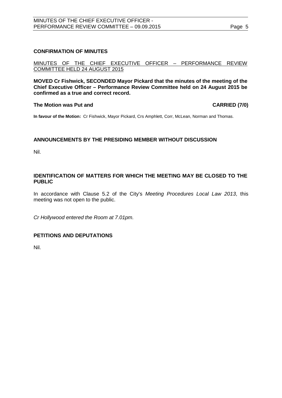#### <span id="page-4-0"></span>**CONFIRMATION OF MINUTES**

MINUTES OF THE CHIEF EXECUTIVE OFFICER – PERFORMANCE REVIEW COMMITTEE HELD 24 AUGUST 2015

**MOVED Cr Fishwick, SECONDED Mayor Pickard that the minutes of the meeting of the Chief Executive Officer – Performance Review Committee held on 24 August 2015 be confirmed as a true and correct record.**

#### **The Motion was Put and CARRIED (7/0)**

**In favour of the Motion:** Cr Fishwick, Mayor Pickard, Crs Amphlett, Corr, McLean, Norman and Thomas.

#### <span id="page-4-1"></span>**ANNOUNCEMENTS BY THE PRESIDING MEMBER WITHOUT DISCUSSION**

Nil.

#### <span id="page-4-2"></span>**IDENTIFICATION OF MATTERS FOR WHICH THE MEETING MAY BE CLOSED TO THE PUBLIC**

In accordance with Clause 5.2 of the City's *Meeting Procedures Local Law 2013*, this meeting was not open to the public.

*Cr Hollywood entered the Room at 7.01pm.*

### <span id="page-4-3"></span>**PETITIONS AND DEPUTATIONS**

Nil.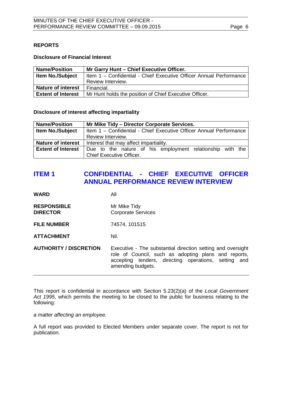#### <span id="page-5-0"></span>**REPORTS**

#### **Disclosure of Financial Interest**

| <b>Name/Position</b>      | Mr Garry Hunt - Chief Executive Officer.                           |
|---------------------------|--------------------------------------------------------------------|
| <b>Item No./Subject</b>   | Item 1 - Confidential - Chief Executive Officer Annual Performance |
|                           | Review Interview.                                                  |
| <b>Nature of interest</b> | Financial.                                                         |
| <b>Extent of Interest</b> | Mr Hunt holds the position of Chief Executive Officer.             |

#### **Disclosure of interest affecting impartiality**

| <b>Name/Position</b>      | Mr Mike Tidy - Director Corporate Services.                        |
|---------------------------|--------------------------------------------------------------------|
| <b>Item No./Subject</b>   | Item 1 - Confidential - Chief Executive Officer Annual Performance |
|                           | Review Interview.                                                  |
| <b>Nature of interest</b> | Interest that may affect impartiality.                             |
| <b>Extent of Interest</b> | Due to the nature of his employment relationship with the          |
|                           | <b>Chief Executive Officer.</b>                                    |

# <span id="page-5-1"></span>**ITEM 1 CONFIDENTIAL - CHIEF EXECUTIVE OFFICER ANNUAL PERFORMANCE REVIEW INTERVIEW**

**WARD** All

- **RESPONSIBLE** Mr Mike Tidy<br> **DIRECTOR** Corporate Se **Corporate Services**
- **FILE NUMBER** 74574, 101515

**ATTACHMENT** Nil.

**AUTHORITY / DISCRETION** Executive - The substantial direction setting and oversight role of Council, such as adopting plans and reports, accepting tenders, directing operations, setting and amending budgets.

This report is confidential in accordance with Section 5.23(2)(a) of the *Local Government Act 1995*, which permits the meeting to be closed to the public for business relating to the following:

*a matter affecting an employee.*

A full report was provided to Elected Members under separate cover. The report is not for publication.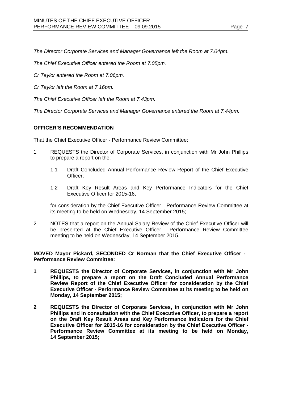*The Director Corporate Services and Manager Governance left the Room at 7.04pm.*

*The Chief Executive Officer entered the Room at 7.05pm.*

*Cr Taylor entered the Room at 7.06pm.*

*Cr Taylor left the Room at 7.16pm.*

*The Chief Executive Officer left the Room at 7.43pm.*

*The Director Corporate Services and Manager Governance entered the Room at 7.44pm.*

#### **OFFICER'S RECOMMENDATION**

That the Chief Executive Officer - Performance Review Committee:

- 1 REQUESTS the Director of Corporate Services, in conjunction with Mr John Phillips to prepare a report on the:
	- 1.1 Draft Concluded Annual Performance Review Report of the Chief Executive Officer;
	- 1.2 Draft Key Result Areas and Key Performance Indicators for the Chief Executive Officer for 2015-16,

for consideration by the Chief Executive Officer - Performance Review Committee at its meeting to be held on Wednesday, 14 September 2015;

2 NOTES that a report on the Annual Salary Review of the Chief Executive Officer will be presented at the Chief Executive Officer - Performance Review Committee meeting to be held on Wednesday, 14 September 2015.

**MOVED Mayor Pickard, SECONDED Cr Norman that the Chief Executive Officer - Performance Review Committee:**

- **1 REQUESTS the Director of Corporate Services, in conjunction with Mr John Phillips, to prepare a report on the Draft Concluded Annual Performance Review Report of the Chief Executive Officer for consideration by the Chief Executive Officer - Performance Review Committee at its meeting to be held on Monday, 14 September 2015;**
- **2 REQUESTS the Director of Corporate Services, in conjunction with Mr John Phillips and in consultation with the Chief Executive Officer, to prepare a report on the Draft Key Result Areas and Key Performance Indicators for the Chief Executive Officer for 2015-16 for consideration by the Chief Executive Officer - Performance Review Committee at its meeting to be held on Monday, 14 September 2015;**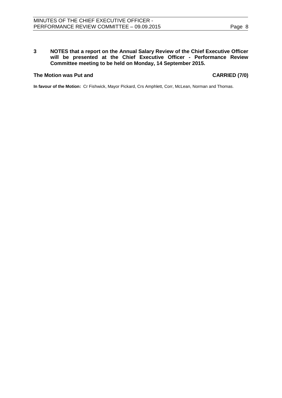#### **3 NOTES that a report on the Annual Salary Review of the Chief Executive Officer will be presented at the Chief Executive Officer - Performance Review Committee meeting to be held on Monday, 14 September 2015.**

#### **The Motion was Put and CARRIED (7/0)**

**In favour of the Motion:** Cr Fishwick, Mayor Pickard, Crs Amphlett, Corr, McLean, Norman and Thomas.